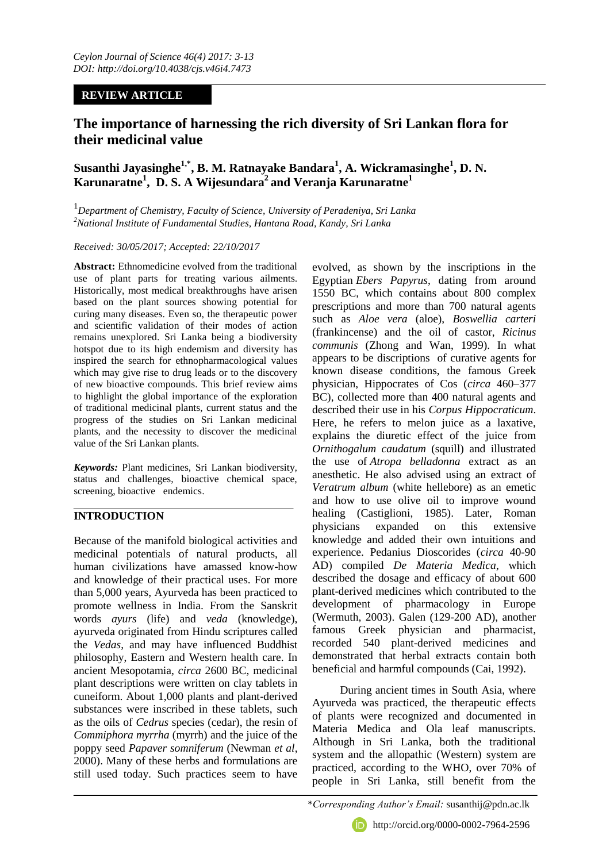# **REVIEW ARTICLE**

# **The importance of harnessing the rich diversity of Sri Lankan flora for their medicinal value**

**Susanthi Jayasinghe1,\*, B. M. Ratnayake Bandara<sup>1</sup> , A. Wickramasinghe<sup>1</sup> , D. N. Karunaratne<sup>1</sup> , D. S. A Wijesundara<sup>2</sup> and Veranja Karunaratne<sup>1</sup>**

1 *Department of Chemistry, Faculty of Science, University of Peradeniya, Sri Lanka <sup>2</sup>National Institute of Fundamental Studies, Hantana Road, Kandy, Sri Lanka*

#### *Received: 30/05/2017; Accepted: 22/10/2017*

**Abstract:** Ethnomedicine evolved from the traditional use of plant parts for treating various ailments. Historically, most medical breakthroughs have arisen based on the plant sources showing potential for curing many diseases. Even so, the therapeutic power and scientific validation of their modes of action remains unexplored. Sri Lanka being a biodiversity hotspot due to its high endemism and diversity has inspired the search for ethnopharmacological values which may give rise to drug leads or to the discovery of new bioactive compounds. This brief review aims to highlight the global importance of the exploration of traditional medicinal plants, current status and the progress of the studies on Sri Lankan medicinal plants, and the necessity to discover the medicinal value of the Sri Lankan plants.

*Keywords:* Plant medicines, Sri Lankan biodiversity, status and challenges, bioactive chemical space, screening, bioactive endemics.

# **INTRODUCTION**

Because of the manifold biological activities and medicinal potentials of natural products, all human civilizations have amassed know-how and knowledge of their practical uses. For more than 5,000 years, Ayurveda has been practiced to promote wellness in India. From the Sanskrit words *ayurs* (life) and *veda* (knowledge), ayurveda originated from Hindu scriptures called the *Vedas*, and may have influenced Buddhist philosophy, Eastern and Western health care. In ancient Mesopotamia, *circa* 2600 BC, medicinal plant descriptions were written on clay tablets in cuneiform. About 1,000 plants and plant-derived substances were inscribed in these tablets, such as the oils of *Cedrus* species (cedar), the resin of *Commiphora myrrha* (myrrh) and the juice of the poppy seed *Papaver somniferum* (Newman *et al*, 2000). Many of these herbs and formulations are still used today. Such practices seem to have

evolved, as shown by the inscriptions in the Egyptian *Ebers Papyrus*, dating from around 1550 BC, which contains about 800 complex prescriptions and more than 700 natural agents such as *Aloe vera* (aloe), *Boswellia carteri* (frankincense) and the oil of castor, *Ricinus communis* (Zhong and Wan, 1999). In what appears to be discriptions of curative agents for known disease conditions, the famous Greek physician, Hippocrates of Cos (*circa* 460–377 BC), collected more than 400 natural agents and described their use in his *Corpus Hippocraticum*. Here, he refers to melon juice as a laxative, explains the diuretic effect of the juice from *Ornithogalum caudatum* (squill) and illustrated the use of *Atropa belladonna* extract as an anesthetic. He also advised using an extract of *Veratrum album* (white hellebore) as an emetic and how to use olive oil to improve wound healing (Castiglioni, 1985). Later, Roman physicians expanded on this extensive knowledge and added their own intuitions and experience. Pedanius Dioscorides (*circa* 40-90 AD) compiled *De Materia Medica*, which described the dosage and efficacy of about 600 plant-derived medicines which contributed to the development of pharmacology in Europe (Wermuth, 2003). Galen (129-200 AD), another famous Greek physician and pharmacist, recorded 540 plant-derived medicines and demonstrated that herbal extracts contain both beneficial and harmful compounds (Cai, 1992).

During ancient times in South Asia, where Ayurveda was practiced, the therapeutic effects of plants were recognized and documented in Materia Medica and Ola leaf manuscripts. Although in Sri Lanka, both the traditional system and the allopathic (Western) system are practiced, according to the WHO, over 70% of people in Sri Lanka, still benefit from the



http://orcid.org/0000-0002-7964-2596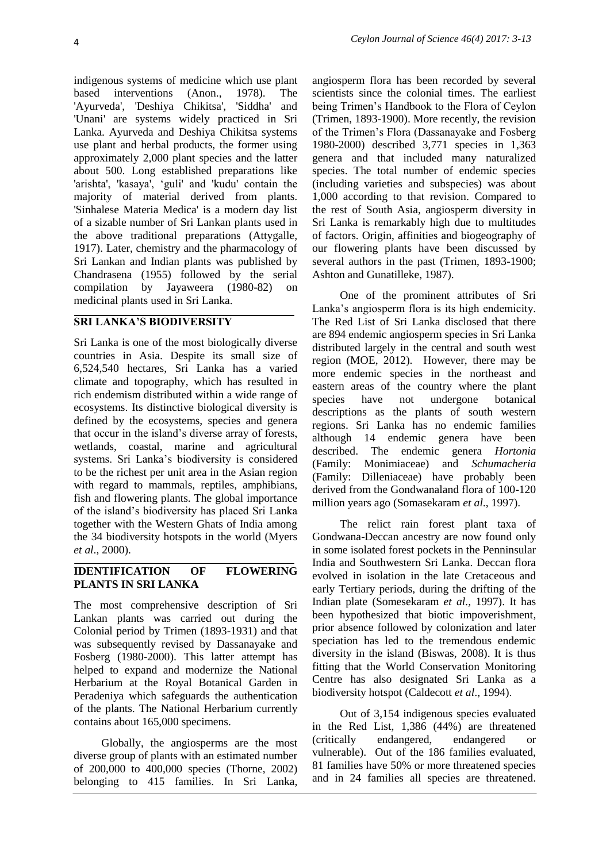indigenous systems of medicine which use plant based interventions (Anon., 1978). The 'Ayurveda', 'Deshiya Chikitsa', 'Siddha' and 'Unani' are systems widely practiced in Sri Lanka. Ayurveda and Deshiya Chikitsa systems use plant and herbal products, the former using approximately 2,000 plant species and the latter about 500. Long established preparations like 'arishta', 'kasaya', 'guli' and 'kudu' contain the majority of material derived from plants. 'Sinhalese Materia Medica' is a modern day list of a sizable number of Sri Lankan plants used in the above traditional preparations (Attygalle, 1917). Later, chemistry and the pharmacology of Sri Lankan and Indian plants was published by Chandrasena (1955) followed by the serial compilation by Jayaweera (1980-82) on medicinal plants used in Sri Lanka.

#### **SRI LANKA'S BIODIVERSITY**

Sri Lanka is one of the most biologically diverse countries in Asia. Despite its small size of 6,524,540 hectares, Sri Lanka has a varied climate and topography, which has resulted in rich endemism distributed within a wide range of ecosystems. Its distinctive biological diversity is defined by the ecosystems, species and genera that occur in the island's diverse array of forests, wetlands, coastal, marine and agricultural systems. Sri Lanka's biodiversity is considered to be the richest per unit area in the Asian region with regard to mammals, reptiles, amphibians, fish and flowering plants. The global importance of the island's biodiversity has placed Sri Lanka together with the Western Ghats of India among the 34 biodiversity hotspots in the world (Myers *et al*., 2000).

#### **IDENTIFICATION OF FLOWERING PLANTS IN SRI LANKA**

The most comprehensive description of Sri Lankan plants was carried out during the Colonial period by Trimen (1893-1931) and that was subsequently revised by Dassanayake and Fosberg (1980-2000). This latter attempt has helped to expand and modernize the National Herbarium at the Royal Botanical Garden in Peradeniya which safeguards the authentication of the plants. The National Herbarium currently contains about 165,000 specimens.

Globally, the angiosperms are the most diverse group of plants with an estimated number of 200,000 to 400,000 species (Thorne, 2002) belonging to 415 families. In Sri Lanka,

angiosperm flora has been recorded by several scientists since the colonial times. The earliest being Trimen's Handbook to the Flora of Ceylon (Trimen, 1893-1900). More recently, the revision of the Trimen's Flora (Dassanayake and Fosberg 1980-2000) described 3,771 species in 1,363 genera and that included many naturalized species. The total number of endemic species (including varieties and subspecies) was about 1,000 according to that revision. Compared to the rest of South Asia, angiosperm diversity in Sri Lanka is remarkably high due to multitudes of factors. Origin, affinities and biogeography of our flowering plants have been discussed by several authors in the past (Trimen, 1893-1900; Ashton and Gunatilleke, 1987).

One of the prominent attributes of Sri Lanka's angiosperm flora is its high endemicity. The Red List of Sri Lanka disclosed that there are 894 endemic angiosperm species in Sri Lanka distributed largely in the central and south west region (MOE, 2012). However, there may be more endemic species in the northeast and eastern areas of the country where the plant species have not undergone botanical descriptions as the plants of south western regions. Sri Lanka has no endemic families although 14 endemic genera have been described. The endemic genera *Hortonia*  (Family: Monimiaceae) and *Schumacheria*  (Family: Dilleniaceae) have probably been derived from the Gondwanaland flora of 100-120 million years ago (Somasekaram *et al*., 1997).

The relict rain forest plant taxa of Gondwana-Deccan ancestry are now found only in some isolated forest pockets in the Penninsular India and Southwestern Sri Lanka. Deccan flora evolved in isolation in the late Cretaceous and early Tertiary periods, during the drifting of the Indian plate (Somesekaram *et al.,* 1997). It has been hypothesized that biotic impoverishment, prior absence followed by colonization and later speciation has led to the tremendous endemic diversity in the island (Biswas, 2008). It is thus fitting that the World Conservation Monitoring Centre has also designated Sri Lanka as a biodiversity hotspot (Caldecott *et al*., 1994).

Out of 3,154 indigenous species evaluated in the Red List, 1,386 (44%) are threatened (critically endangered, endangered or vulnerable). Out of the 186 families evaluated, 81 families have 50% or more threatened species and in 24 families all species are threatened.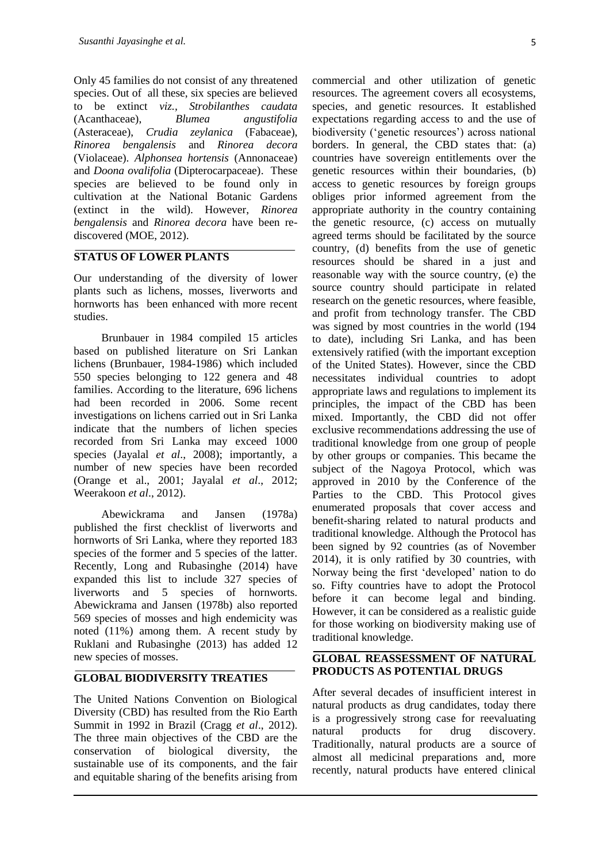Only 45 families do not consist of any threatened species. Out of all these, six species are believed to be extinct *viz., Strobilanthes caudata* (Acanthaceae), *Blumea angustifolia*  (Asteraceae), *Crudia zeylanica* (Fabaceae), *Rinorea bengalensis* and *Rinorea decora* (Violaceae). *Alphonsea hortensis* (Annonaceae) and *Doona ovalifolia* (Dipterocarpaceae). These species are believed to be found only in cultivation at the National Botanic Gardens (extinct in the wild). However, *Rinorea bengalensis* and *Rinorea decora* have been rediscovered (MOE, 2012).

# **STATUS OF LOWER PLANTS**

Our understanding of the diversity of lower plants such as lichens, mosses, liverworts and hornworts has been enhanced with more recent studies.

Brunbauer in 1984 compiled 15 articles based on published literature on Sri Lankan lichens (Brunbauer, 1984-1986) which included 550 species belonging to 122 genera and 48 families. According to the literature, 696 lichens had been recorded in 2006. Some recent investigations on lichens carried out in Sri Lanka indicate that the numbers of lichen species recorded from Sri Lanka may exceed 1000 species (Jayalal *et al*., 2008); importantly, a number of new species have been recorded (Orange et al., 2001; Jayalal *et al*., 2012; Weerakoon *et al*., 2012).

Abewickrama and Jansen (1978a) published the first checklist of liverworts and hornworts of Sri Lanka, where they reported 183 species of the former and 5 species of the latter. Recently, Long and Rubasinghe (2014) have expanded this list to include 327 species of liverworts and 5 species of hornworts. Abewickrama and Jansen (1978b) also reported 569 species of mosses and high endemicity was noted (11%) among them. A recent study by Ruklani and Rubasinghe (2013) has added 12 new species of mosses.

## **GLOBAL BIODIVERSITY TREATIES**

The United Nations Convention on Biological Diversity (CBD) has resulted from the Rio Earth Summit in 1992 in Brazil (Cragg *et al*., 2012). The three main objectives of the CBD are the conservation of biological diversity, the sustainable use of its components, and the fair and equitable sharing of the benefits arising from commercial and other utilization of genetic resources. The agreement covers all ecosystems, species, and genetic resources. It established expectations regarding access to and the use of biodiversity ('genetic resources') across national borders. In general, the CBD states that: (a) countries have sovereign entitlements over the genetic resources within their boundaries, (b) access to genetic resources by foreign groups obliges prior informed agreement from the appropriate authority in the country containing the genetic resource, (c) access on mutually agreed terms should be facilitated by the source country, (d) benefits from the use of genetic resources should be shared in a just and reasonable way with the source country, (e) the source country should participate in related research on the genetic resources, where feasible, and profit from technology transfer. The CBD was signed by most countries in the world (194 to date), including Sri Lanka, and has been extensively ratified (with the important exception of the United States). However, since the CBD necessitates individual countries to adopt appropriate laws and regulations to implement its principles, the impact of the CBD has been mixed. Importantly, the CBD did not offer exclusive recommendations addressing the use of traditional knowledge from one group of people by other groups or companies. This became the subject of the Nagoya Protocol, which was approved in 2010 by the Conference of the Parties to the CBD. This Protocol gives enumerated proposals that cover access and benefit-sharing related to natural products and traditional knowledge. Although the Protocol has been signed by 92 countries (as of November 2014), it is only ratified by 30 countries, with Norway being the first 'developed' nation to do so. Fifty countries have to adopt the Protocol before it can become legal and binding. However, it can be considered as a realistic guide for those working on biodiversity making use of traditional knowledge.

# **GLOBAL REASSESSMENT OF NATURAL PRODUCTS AS POTENTIAL DRUGS**

After several decades of insufficient interest in natural products as drug candidates, today there is a progressively strong case for reevaluating natural products for drug discovery. Traditionally, natural products are a source of almost all medicinal preparations and, more recently, natural products have entered clinical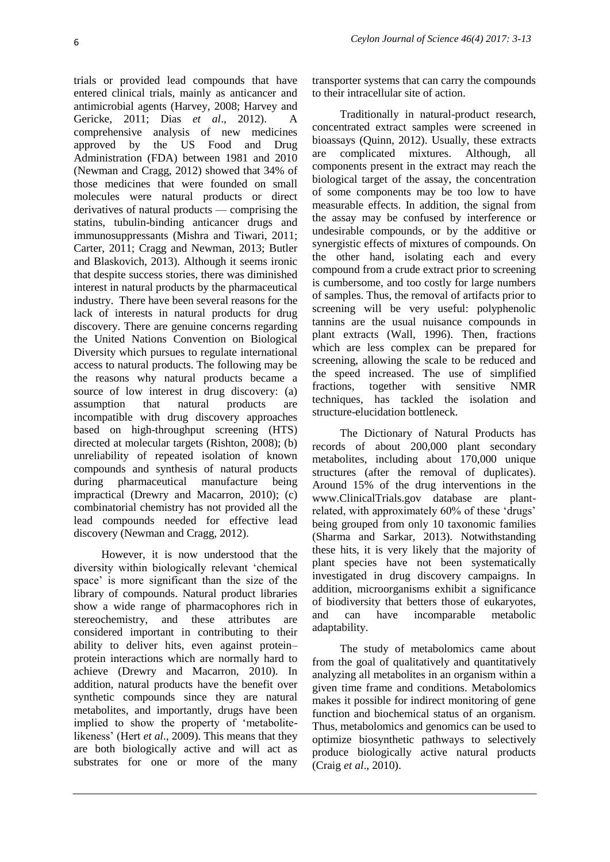trials or provided lead compounds that have entered clinical trials, mainly as anticancer and antimicrobial agents (Harvey, 2008; Harvey and Gericke, 2011; Dias *et al*., 2012). A comprehensive analysis of new medicines approved by the US Food and Drug Administration (FDA) between 1981 and 2010 (Newman and Cragg, 2012) showed that 34% of those medicines that were founded on small molecules were natural products or direct derivatives of natural products — comprising the statins, tubulin-binding anticancer drugs and immunosuppressants (Mishra and Tiwari, 2011; Carter, 2011; Cragg and Newman, 2013; Butler and Blaskovich, 2013). Although it seems ironic that despite success stories, there was diminished interest in natural products by the pharmaceutical industry. There have been several reasons for the lack of interests in natural products for drug discovery. There are genuine concerns regarding the United Nations Convention on Biological Diversity which pursues to regulate international access to natural products. The following may be the reasons why natural products became a source of low interest in drug discovery: (a) assumption that natural products are incompatible with drug discovery approaches based on high-throughput screening (HTS) directed at molecular targets (Rishton, 2008); (b) unreliability of repeated isolation of known compounds and synthesis of natural products during pharmaceutical manufacture being impractical (Drewry and Macarron, 2010); (c) combinatorial chemistry has not provided all the lead compounds needed for effective lead discovery (Newman and Cragg, 2012).

However, it is now understood that the diversity within biologically relevant 'chemical space' is more significant than the size of the library of compounds. Natural product libraries show a wide range of pharmacophores rich in stereochemistry, and these attributes are considered important in contributing to their ability to deliver hits, even against protein– protein interactions which are normally hard to achieve (Drewry and Macarron, 2010). In addition, natural products have the benefit over synthetic compounds since they are natural metabolites, and importantly, drugs have been implied to show the property of 'metabolitelikeness' (Hert *et al*., 2009). This means that they are both biologically active and will act as substrates for one or more of the many

transporter systems that can carry the compounds to their intracellular site of action.

Traditionally in natural-product research, concentrated extract samples were screened in bioassays (Quinn, 2012). Usually, these extracts are complicated mixtures. Although, all components present in the extract may reach the biological target of the assay, the concentration of some components may be too low to have measurable effects. In addition, the signal from the assay may be confused by interference or undesirable compounds, or by the additive or synergistic effects of mixtures of compounds. On the other hand, isolating each and every compound from a crude extract prior to screening is cumbersome, and too costly for large numbers of samples. Thus, the removal of artifacts prior to screening will be very useful: polyphenolic tannins are the usual nuisance compounds in plant extracts (Wall, 1996). Then, fractions which are less complex can be prepared for screening, allowing the scale to be reduced and the speed increased. The use of simplified fractions, together with sensitive NMR techniques, has tackled the isolation and structure-elucidation bottleneck.

The Dictionary of Natural Products has records of about 200,000 plant secondary metabolites, including about 170,000 unique structures (after the removal of duplicates). Around 15% of the drug interventions in the www.ClinicalTrials.gov database are plantrelated, with approximately 60% of these 'drugs' being grouped from only 10 taxonomic families (Sharma and Sarkar, 2013). Notwithstanding these hits, it is very likely that the majority of plant species have not been systematically investigated in drug discovery campaigns. In addition, microorganisms exhibit a significance of biodiversity that betters those of eukaryotes, and can have incomparable metabolic adaptability.

The study of metabolomics came about from the goal of qualitatively and quantitatively analyzing all metabolites in an organism within a given time frame and conditions. Metabolomics makes it possible for indirect monitoring of gene function and biochemical status of an organism. Thus, metabolomics and genomics can be used to optimize biosynthetic pathways to selectively produce biologically active natural products (Craig *et al*., 2010).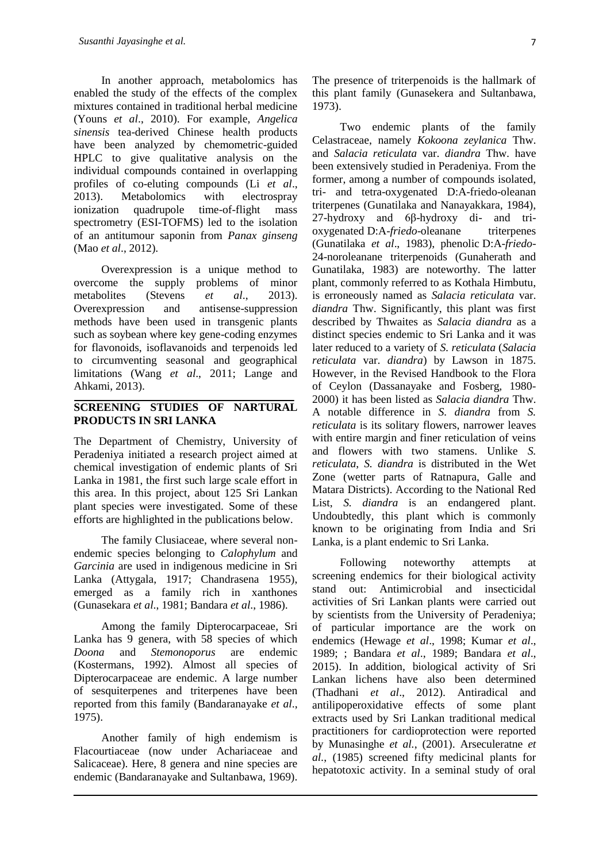In another approach, metabolomics has enabled the study of the effects of the complex mixtures contained in traditional herbal medicine (Youns *et al*., 2010). For example, *Angelica sinensis* tea-derived Chinese health products have been analyzed by chemometric-guided HPLC to give qualitative analysis on the individual compounds contained in overlapping profiles of co-eluting compounds (Li *et al*., 2013). Metabolomics with electrospray ionization quadrupole time-of-flight mass spectrometry (ESI-TOFMS) led to the isolation of an antitumour saponin from *Panax ginseng* (Mao *et al*., 2012).

Overexpression is a unique method to overcome the supply problems of minor metabolites (Stevens *et al*., 2013). Overexpression and antisense-suppression methods have been used in transgenic plants such as soybean where key gene-coding enzymes for flavonoids, isoflavanoids and terpenoids led to circumventing seasonal and geographical limitations (Wang *et al*., 2011; Lange and Ahkami, 2013).

#### **SCREENING STUDIES OF NARTURAL PRODUCTS IN SRI LANKA**

The Department of Chemistry, University of Peradeniya initiated a research project aimed at chemical investigation of endemic plants of Sri Lanka in 1981, the first such large scale effort in this area. In this project, about 125 Sri Lankan plant species were investigated. Some of these efforts are highlighted in the publications below.

The family Clusiaceae, where several nonendemic species belonging to *Calophylum* and *Garcinia* are used in indigenous medicine in Sri Lanka (Attygala, 1917; Chandrasena 1955), emerged as a family rich in xanthones (Gunasekara *et al*., 1981; Bandara *et al*., 1986).

Among the family Dipterocarpaceae, Sri Lanka has 9 genera, with 58 species of which *Doona* and *Stemonoporus* are endemic (Kostermans, 1992). Almost all species of Dipterocarpaceae are endemic. A large number of sesquiterpenes and triterpenes have been reported from this family (Bandaranayake *et al*., 1975).

Another family of high endemism is Flacourtiaceae (now under Achariaceae and Salicaceae). Here, 8 genera and nine species are endemic (Bandaranayake and Sultanbawa, 1969).

The presence of triterpenoids is the hallmark of this plant family (Gunasekera and Sultanbawa, 1973).

Two endemic plants of the family Celastraceae, namely *Kokoona zeylanica* Thw. and *Salacia reticulata* var. *diandra* Thw. have been extensively studied in Peradeniya. From the former, among a number of compounds isolated, tri- and tetra-oxygenated D:A-friedo-oleanan triterpenes (Gunatilaka and Nanayakkara, 1984), 27-hydroxy and 6β-hydroxy di- and trioxygenated D:A-*friedo*-oleanane triterpenes (Gunatilaka *et al*., 1983), phenolic D:A-*friedo*-24-noroleanane triterpenoids (Gunaherath and Gunatilaka, 1983) are noteworthy. The latter plant, commonly referred to as Kothala Himbutu, is erroneously named as *Salacia reticulata* var. *diandra* Thw. Significantly, this plant was first described by Thwaites as *Salacia diandra* as a distinct species endemic to Sri Lanka and it was later reduced to a variety of *S. reticulata* (*Salacia reticulata* var. *diandra*) by Lawson in 1875. However, in the Revised Handbook to the Flora of Ceylon (Dassanayake and Fosberg, 1980- 2000) it has been listed as *Salacia diandra* Thw. A notable difference in *S. diandra* from *S. reticulata* is its solitary flowers, narrower leaves with entire margin and finer reticulation of veins and flowers with two stamens. Unlike *S. reticulata*, *S. diandra* is distributed in the Wet Zone (wetter parts of Ratnapura, Galle and Matara Districts). According to the National Red List, *S. diandra* is an endangered plant. Undoubtedly, this plant which is commonly known to be originating from India and Sri Lanka, is a plant endemic to Sri Lanka.

Following noteworthy attempts at screening endemics for their biological activity stand out: Antimicrobial and insecticidal activities of Sri Lankan plants were carried out by scientists from the University of Peradeniya; of particular importance are the work on endemics (Hewage *et al*., 1998; Kumar *et al*., 1989; ; Bandara *et al*., 1989; Bandara *et al*., 2015). In addition, biological activity of Sri Lankan lichens have also been determined (Thadhani *et al*., 2012). Antiradical and antilipoperoxidative effects of some plant extracts used by Sri Lankan traditional medical practitioners for cardioprotection were reported by Munasinghe *et al.*, (2001). Arseculeratne *et al.*, (1985) screened fifty medicinal plants for hepatotoxic activity. In a seminal study of oral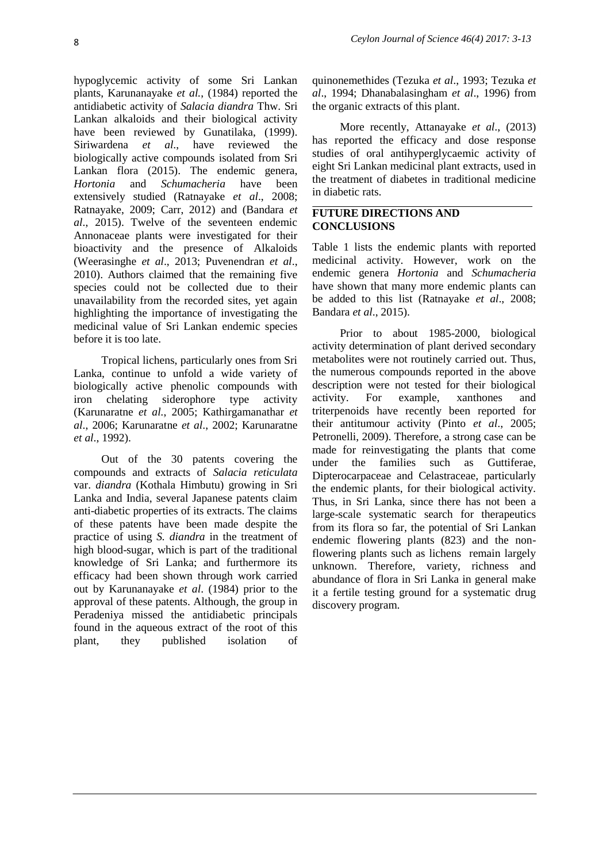hypoglycemic activity of some Sri Lankan plants, Karunanayake *et al.*, (1984) reported the antidiabetic activity of *Salacia diandra* Thw. Sri Lankan alkaloids and their biological activity have been reviewed by Gunatilaka, (1999). Siriwardena *et al*., have reviewed the biologically active compounds isolated from Sri Lankan flora (2015). The endemic genera, *Hortonia* and *Schumacheria* have been extensively studied (Ratnayake *et al*., 2008; Ratnayake, 2009; Carr, 2012) and (Bandara *et al*., 2015). Twelve of the seventeen endemic Annonaceae plants were investigated for their bioactivity and the presence of Alkaloids (Weerasinghe *et al*., 2013; Puvenendran *et al*., 2010). Authors claimed that the remaining five species could not be collected due to their unavailability from the recorded sites, yet again highlighting the importance of investigating the medicinal value of Sri Lankan endemic species before it is too late.

Tropical lichens, particularly ones from Sri Lanka, continue to unfold a wide variety of biologically active phenolic compounds with iron chelating siderophore type activity (Karunaratne *et al.*, 2005; Kathirgamanathar *et al*., 2006; Karunaratne *et al*., 2002; Karunaratne *et al*., 1992).

Out of the 30 patents covering the compounds and extracts of *Salacia reticulata* var. *diandra* (Kothala Himbutu) growing in Sri Lanka and India, several Japanese patents claim anti-diabetic properties of its extracts. The claims of these patents have been made despite the practice of using *S. diandra* in the treatment of high blood-sugar, which is part of the traditional knowledge of Sri Lanka; and furthermore its efficacy had been shown through work carried out by Karunanayake *et al*. (1984) prior to the approval of these patents. Although, the group in Peradeniya missed the antidiabetic principals found in the aqueous extract of the root of this plant, they published isolation of

quinonemethides (Tezuka *et al*., 1993; Tezuka *et al*., 1994; Dhanabalasingham *et al*., 1996) from the organic extracts of this plant.

More recently, Attanayake *et al*., (2013) has reported the efficacy and dose response studies of oral antihyperglycaemic activity of eight Sri Lankan medicinal plant extracts, used in the treatment of diabetes in traditional medicine in diabetic rats.

## **FUTURE DIRECTIONS AND CONCLUSIONS**

Table 1 lists the endemic plants with reported medicinal activity. However, work on the endemic genera *Hortonia* and *Schumacheria*  have shown that many more endemic plants can be added to this list (Ratnayake *et al*., 2008; Bandara *et al*., 2015).

Prior to about 1985-2000, biological activity determination of plant derived secondary metabolites were not routinely carried out. Thus, the numerous compounds reported in the above description were not tested for their biological activity. For example, xanthones and triterpenoids have recently been reported for their antitumour activity (Pinto *et al*., 2005; Petronelli, 2009). Therefore, a strong case can be made for reinvestigating the plants that come under the families such as Guttiferae, Dipterocarpaceae and Celastraceae, particularly the endemic plants, for their biological activity. Thus, in Sri Lanka, since there has not been a large-scale systematic search for therapeutics from its flora so far, the potential of Sri Lankan endemic flowering plants (823) and the nonflowering plants such as lichens remain largely unknown. Therefore, variety, richness and abundance of flora in Sri Lanka in general make it a fertile testing ground for a systematic drug discovery program.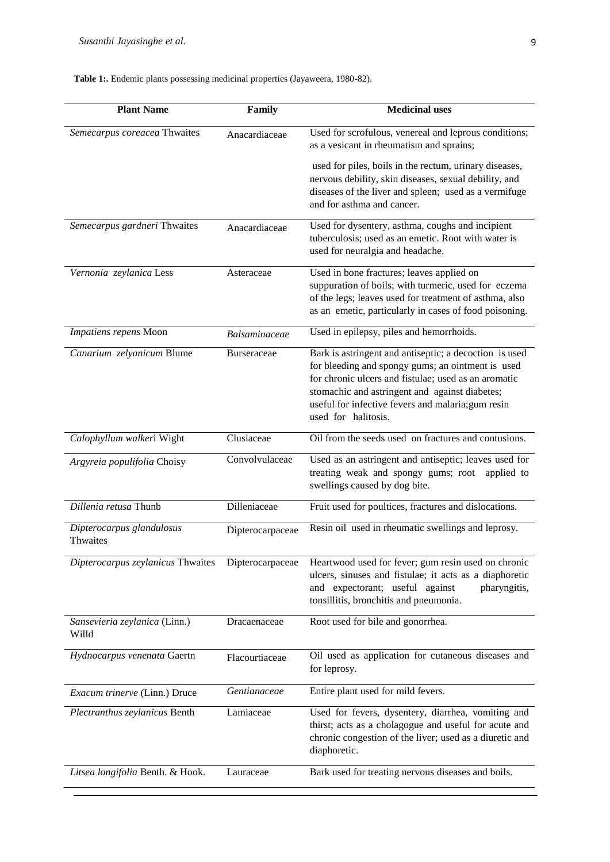## **Table 1:.** Endemic plants possessing medicinal properties (Jayaweera, 1980-82).

| <b>Plant Name</b>                      | Family               | <b>Medicinal uses</b>                                                                                                                                                                                                                                                                              |
|----------------------------------------|----------------------|----------------------------------------------------------------------------------------------------------------------------------------------------------------------------------------------------------------------------------------------------------------------------------------------------|
| Semecarpus coreacea Thwaites           | Anacardiaceae        | Used for scrofulous, venereal and leprous conditions;<br>as a vesicant in rheumatism and sprains;                                                                                                                                                                                                  |
|                                        |                      | used for piles, boils in the rectum, urinary diseases,<br>nervous debility, skin diseases, sexual debility, and<br>diseases of the liver and spleen; used as a vermifuge<br>and for asthma and cancer.                                                                                             |
| Semecarpus gardneri Thwaites           | Anacardiaceae        | Used for dysentery, asthma, coughs and incipient<br>tuberculosis; used as an emetic. Root with water is<br>used for neuralgia and headache.                                                                                                                                                        |
| Vernonia zeylanica Less                | Asteraceae           | Used in bone fractures; leaves applied on<br>suppuration of boils; with turmeric, used for eczema<br>of the legs; leaves used for treatment of asthma, also<br>as an emetic, particularly in cases of food poisoning.                                                                              |
| Impatiens repens Moon                  | <b>Balsaminaceae</b> | Used in epilepsy, piles and hemorrhoids.                                                                                                                                                                                                                                                           |
| Canarium zelyanicum Blume              | <b>Burseraceae</b>   | Bark is astringent and antiseptic; a decoction is used<br>for bleeding and spongy gums; an ointment is used<br>for chronic ulcers and fistulae; used as an aromatic<br>stomachic and astringent and against diabetes;<br>useful for infective fevers and malaria; gum resin<br>used for halitosis. |
| Calophyllum walkeri Wight              | Clusiaceae           | Oil from the seeds used on fractures and contusions.                                                                                                                                                                                                                                               |
| Argyreia populifolia Choisy            | Convolvulaceae       | Used as an astringent and antiseptic; leaves used for<br>treating weak and spongy gums; root applied to<br>swellings caused by dog bite.                                                                                                                                                           |
| Dillenia retusa Thunb                  | Dilleniaceae         | Fruit used for poultices, fractures and dislocations.                                                                                                                                                                                                                                              |
| Dipterocarpus glandulosus<br>Thwaites  | Dipterocarpaceae     | Resin oil used in rheumatic swellings and leprosy.                                                                                                                                                                                                                                                 |
| Dipterocarpus zeylanicus Thwaites      | Dipterocarpaceae     | Heartwood used for fever; gum resin used on chronic<br>ulcers, sinuses and fistulae; it acts as a diaphoretic<br>and expectorant; useful against<br>pharyngitis,<br>tonsillitis, bronchitis and pneumonia.                                                                                         |
| Sansevieria zeylanica (Linn.)<br>Willd | Dracaenaceae         | Root used for bile and gonorrhea.                                                                                                                                                                                                                                                                  |
| Hydnocarpus venenata Gaertn            | Flacourtiaceae       | Oil used as application for cutaneous diseases and<br>for leprosy.                                                                                                                                                                                                                                 |
| Exacum trinerve (Linn.) Druce          | Gentianaceae         | Entire plant used for mild fevers.                                                                                                                                                                                                                                                                 |
| Plectranthus zeylanicus Benth          | Lamiaceae            | Used for fevers, dysentery, diarrhea, vomiting and<br>thirst; acts as a cholagogue and useful for acute and<br>chronic congestion of the liver; used as a diuretic and<br>diaphoretic.                                                                                                             |
| Litsea longifolia Benth. & Hook.       | Lauraceae            | Bark used for treating nervous diseases and boils.                                                                                                                                                                                                                                                 |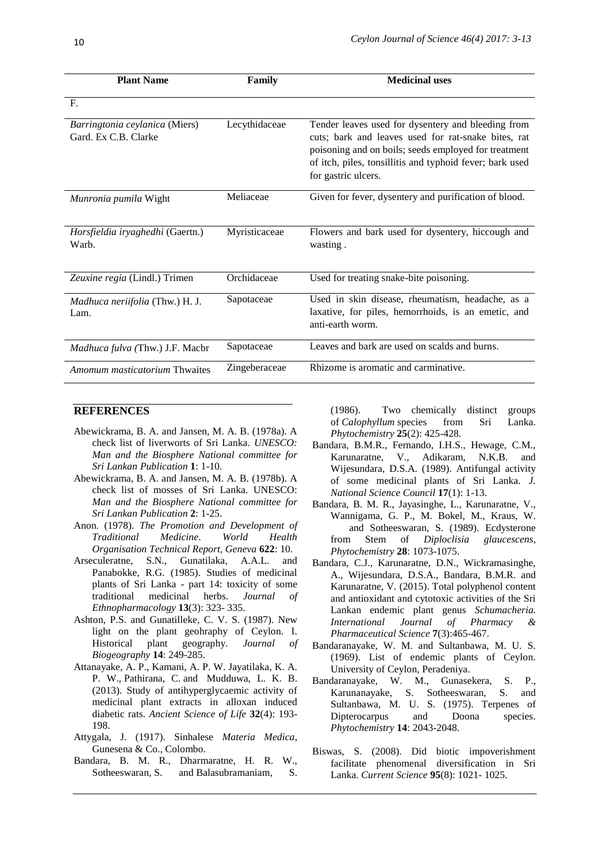| <b>Plant Name</b>                                      | Family        | <b>Medicinal uses</b>                                                                                                                                                                                                                                |
|--------------------------------------------------------|---------------|------------------------------------------------------------------------------------------------------------------------------------------------------------------------------------------------------------------------------------------------------|
| F.                                                     |               |                                                                                                                                                                                                                                                      |
| Barringtonia ceylanica (Miers)<br>Gard. Ex C.B. Clarke | Lecythidaceae | Tender leaves used for dysentery and bleeding from<br>cuts; bark and leaves used for rat-snake bites, rat<br>poisoning and on boils; seeds employed for treatment<br>of itch, piles, tonsillitis and typhoid fever; bark used<br>for gastric ulcers. |
| Munronia pumila Wight                                  | Meliaceae     | Given for fever, dysentery and purification of blood.                                                                                                                                                                                                |
| Horsfieldia iryaghedhi (Gaertn.)<br>Warb.              | Myristicaceae | Flowers and bark used for dysentery, hiccough and<br>wasting.                                                                                                                                                                                        |
| Zeuxine regia (Lindl.) Trimen                          | Orchidaceae   | Used for treating snake-bite poisoning.                                                                                                                                                                                                              |
| Madhuca neriifolia (Thw.) H. J.<br>Lam.                | Sapotaceae    | Used in skin disease, rheumatism, headache, as a<br>laxative, for piles, hemorrhoids, is an emetic, and<br>anti-earth worm.                                                                                                                          |
| Madhuca fulva (Thw.) J.F. Macbr                        | Sapotaceae    | Leaves and bark are used on scalds and burns.                                                                                                                                                                                                        |
| <i>Amomum masticatorium</i> Thwaites                   | Zingeberaceae | Rhizome is aromatic and carminative.                                                                                                                                                                                                                 |

### **REFERENCES**

- Abewickrama, B. A. and Jansen, M. A. B. (1978a). A check list of liverworts of Sri Lanka. *UNESCO: Man and the Biosphere National committee for Sri Lankan Publication* **1**: 1-10.
- Abewickrama, B. A. and Jansen, M. A. B. (1978b). A check list of mosses of Sri Lanka. UNESCO: *Man and the Biosphere National committee for Sri Lankan Publication* **2**: 1-25.
- Anon. (1978). *The Promotion and Development of Traditional Medicine*. *World Health Organisation Technical Report, Geneva* **622**: 10.
- Arseculeratne, S.N., Gunatilaka, A.A.L. and Panabokke, R.G. (1985). Studies of medicinal plants of Sri Lanka - part 14: toxicity of some traditional medicinal herbs. *Journal of Ethnopharmacology* **13**(3): 323- 335.
- Ashton, P.S. and Gunatilleke, C. V. S. (1987). New light on the plant geohraphy of Ceylon. I. Historical plant geography. *Journal of Biogeography* **14**: 249-285.
- [Attanayake,](https://www.ncbi.nlm.nih.gov/pubmed/?term=Attanayake%20AP%5BAuthor%5D&cauthor=true&cauthor_uid=24991066) A. P., [Kamani, A. P. W. Jayatilaka,](https://www.ncbi.nlm.nih.gov/pubmed/?term=Jayatilaka%20KA%5BAuthor%5D&cauthor=true&cauthor_uid=24991066) K. A. P. W., [Pathirana,](https://www.ncbi.nlm.nih.gov/pubmed/?term=Pathirana%20C%5BAuthor%5D&cauthor=true&cauthor_uid=24991066) C. and [Mudduwa,](https://www.ncbi.nlm.nih.gov/pubmed/?term=Mudduwa%20LK%5BAuthor%5D&cauthor=true&cauthor_uid=24991066) L. K. B. (2013). Study of antihyperglycaemic activity of medicinal plant extracts in alloxan induced diabetic rats. *Ancient Science of Life* **32**(4): 193- 198.
- Attygala, J. (1917). Sinhalese *Materia Medica*, Gunesena & Co., Colombo.
- [Bandara,](http://www.sciencedirect.com/science/article/pii/S0031942200854941) B. M. R., Dharmaratne, H. R. W., [Sotheeswaran,](http://www.sciencedirect.com/science/article/pii/S0031942200854941) S. and [Balasubramaniam,](http://www.sciencedirect.com/science/article/pii/S0031942200854941) S.

(1986). Two chemically distinct groups of *Calophyllum* species from Sri Lanka. *Phytochemistry* **25**(2): 425-428.

- Bandara, B.M.R., Fernando, I.H.S., Hewage, C.M., Karunaratne, V., Adikaram, N.K.B. and Wijesundara, D.S.A. (1989). Antifungal activity of some medicinal plants of Sri Lanka. *J. National Science Council* **17**(1): 1-13.
- Bandara, B. M. R., Jayasinghe, L., Karunaratne, V., Wannigama, G. P., M. Bokel, M., Kraus, W. and Sotheeswaran, S. (1989). Ecdysterone from Stem of *Diploclisia glaucescens, Phytochemistry* **28**: 1073-1075.
- Bandara, C.J., Karunaratne, D.N., Wickramasinghe, A., Wijesundara, D.S.A., Bandara, B.M.R. and Karunaratne, V. (2015). Total polyphenol content and antioxidant and cytotoxic activities of the Sri Lankan endemic plant genus *Schumacheria. International Journal of Pharmacy & Pharmaceutical Science* **7**(3):465-467.
- Bandaranayake, W. M. and Sultanbawa, M. U. S. (1969). List of endemic plants of Ceylon. University of Ceylon, Peradeniya.
- Bandaranayake, W. M., Gunasekera, S. P., Karunanayake, S. Sotheeswaran, S. and Sultanbawa, M. U. S. (1975). Terpenes of Dipterocarpus and Doona species. *Phytochemistry* **14**: 2043-2048.
- Biswas, S. (2008). Did biotic impoverishment facilitate phenomenal diversification in Sri Lanka. *Current Science* **95**(8): 1021- 1025.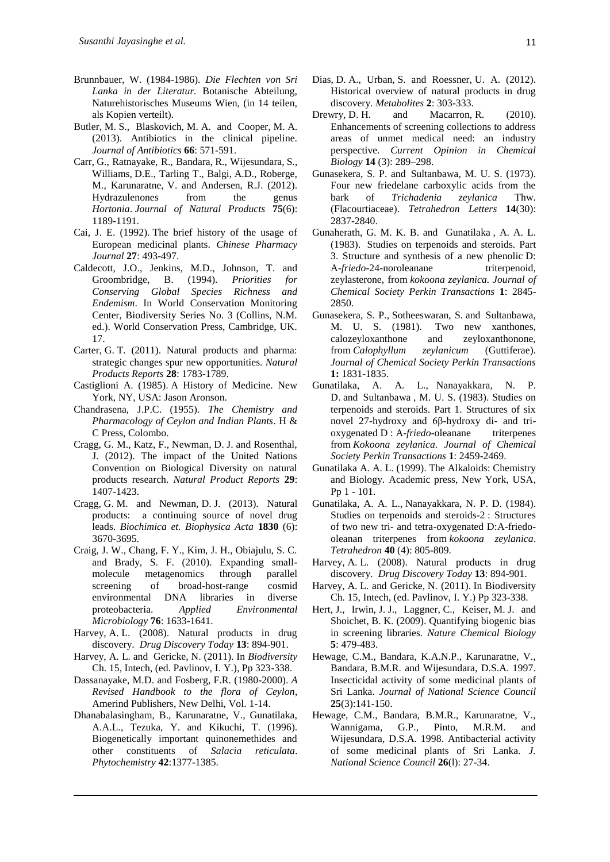- Brunnbauer, W. (1984-1986). *Die Flechten von Sri Lanka in der Literatur.* Botanische Abteilung, Naturehistorisches Museums Wien, (in 14 teilen, als Kopien verteilt).
- Butler, M. S., Blaskovich, M. A. and Cooper, M. A. (2013). Antibiotics in the clinical pipeline. *Journal of Antibiotics* **66**: 571-591.
- Carr, G., Ratnayake, R., Bandara, R., Wijesundara, S., Williams, D.E., Tarling T., Balgi, A.D., Roberge, M., Karunaratne, V. and Andersen, R.J. (2012). Hydrazulenones from the genus *Hortonia*. *Journal of Natural Products* **75**(6): 1189-1191.
- Cai, J. E. (1992). The brief history of the usage of European medicinal plants. *Chinese Pharmacy Journal* **27**: 493-497.
- Caldecott, J.O., Jenkins, M.D., Johnson, T. and Groombridge, B. (1994). *Priorities for Conserving Global Species Richness and Endemism*. In World Conservation Monitoring Center, Biodiversity Series No. 3 (Collins, N.M. ed.). World Conservation Press, Cambridge, UK. 17.
- Carter, G. T. (2011). Natural products and pharma: strategic changes spur new opportunities. *Natural Products Reports* **28**: 1783-1789.
- Castiglioni A. (1985). A History of Medicine. New York, NY, USA: Jason Aronson.
- Chandrasena, J.P.C. (1955). *The Chemistry and Pharmacology of Ceylon and Indian Plants*. H & C Press, Colombo.
- Cragg, G. M., Katz, F., Newman, D. J. and Rosenthal, J. (2012). The impact of the United Nations Convention on Biological Diversity on natural products research. *Natural Product Reports* **29**: 1407-1423.
- Cragg, G. M. and Newman, D. J. (2013). Natural products: a continuing source of novel drug leads. *Biochimica et. Biophysica Acta* **1830** (6): 3670-3695.
- Craig, J. W., Chang, F. Y., Kim, J. H., Obiajulu, S. C. and Brady, S. F. (2010). Expanding smallmolecule metagenomics through parallel screening of broad-host-range cosmid environmental DNA libraries in diverse proteobacteria. *Applied Environmental Microbiology* **76**: 1633-1641.
- Harvey, A. L. (2008). Natural products in drug discovery. *Drug Discovery Today* **13**: 894-901.
- Harvey, A. L. and Gericke, N. (2011). In *Biodiversity*  Ch. 15, Intech, (ed. Pavlinov, I. Y.), Pp 323-338.
- Dassanayake, M.D. and Fosberg, F.R. (1980-2000). *A Revised Handbook to the flora of Ceylon*, Amerind Publishers, New Delhi, Vol. 1-14.
- Dhanabalasingham, B., Karunaratne, V., Gunatilaka, A.A.L., Tezuka, Y. and Kikuchi, T. (1996). Biogenetically important quinonemethides and other constituents of *Salacia reticulata*. *Phytochemistry* **42**:1377-1385.
- Dias, D. A., Urban, S. and Roessner, U. A. (2012). Historical overview of natural products in drug discovery. *Metabolites* **2**: 303-333.
- Drewry, D. H. and Macarron, R. (2010). Enhancements of screening collections to address areas of unmet medical need: an industry perspective. *Current Opinion in Chemical Biology* **14** (3): 289–298.
- [Gunasekera,](http://pubs.rsc.org/en/results?searchtext=Author%3ASarath%20P.%20Gunasekera) S. P. and [Sultanbawa,](http://pubs.rsc.org/en/results?searchtext=Author%3AM.%20Uvais%20S.%20Sultanbawa) M. U. S. (1973). Four new friedelane carboxylic acids from the bark of *Trichadenia zeylanica* Thw. (Flacourtiaceae). *Tetrahedron Letters* **14**(30): 2837-2840.
- [Gunaherath,](http://pubs.rsc.org/en/results?searchtext=Author%3AG.%20M.%20Kamal%20B.%20Gunaherath) G. M. K. B. and [Gunatilaka](http://pubs.rsc.org/en/results?searchtext=Author%3AA.%20A.%20Leslie%20Gunatilaka) , A. A. L. (1983). Studies on terpenoids and steroids. Part 3. Structure and synthesis of a new phenolic D: A-*friedo*-24-noroleanane triterpenoid, zeylasterone, from *kokoona zeylanica. Journal of Chemical Society Perkin Transactions* **1**: 2845- 2850.
- [Gunasekera,](http://pubs.rsc.org/en/results?searchtext=Author%3ASarath%20P.%20Gunasekera) S. P., [Sotheeswaran,](http://pubs.rsc.org/en/results?searchtext=Author%3ASubramaniam%20Sotheeswaran) S. and [Sultanbawa,](http://pubs.rsc.org/en/results?searchtext=Author%3AM.%20Uvais%20S.%20Sultanbawa) M. U. S. (1981). Two new xanthones, calozeyloxanthone and zeyloxanthonone, from *Calophyllum zeylanicum* (Guttiferae). *Journal of Chemical Society Perkin Transactions* **1:** 1831-1835.
- [Gunatilaka,](http://pubs.rsc.org/en/results?searchtext=Author%3AA.%20A.%20Leslie%20Gunatilaka) A. A. L., [Nanayakkara,](http://pubs.rsc.org/en/results?searchtext=Author%3AN.%20P.%20Dhammika%20Nanayakkara) N. P. D. and [Sultanbawa](http://pubs.rsc.org/en/results?searchtext=Author%3AM.%20Uvais%20S.%20Sultanbawa) , M. U. S. (1983). Studies on terpenoids and steroids. Part 1. Structures of six novel 27-hydroxy and 6β-hydroxy di- and trioxygenated D : A-*friedo*-oleanane triterpenes from *Kokoona zeylanica. Journal of Chemical Society Perkin Transactions* **1**: 2459-2469.
- Gunatilaka A. A. L. (1999). The Alkaloids: Chemistry and Biology. Academic press, New York, USA, Pp 1 - 101.
- [Gunatilaka,](http://www.sciencedirect.com/science/article/pii/S0040402001911111) A. A. L., [Nanayakkara,](http://www.sciencedirect.com/science/article/pii/S0040402001911111) N. P. D. (1984). Studies on terpenoids and steroids-2 : Structures of two new tri- and tetra-oxygenated D:A-friedooleanan triterpenes from *kokoona zeylanica*. *Tetrahedron* **40** [\(4\)](http://www.sciencedirect.com/science/journal/00404020/40/4): 805-809.
- Harvey, A. L. (2008). Natural products in drug discovery. *Drug Discovery Today* **13**: 894-901.
- Harvey, A. L. and Gericke, N. (2011). In Biodiversity Ch. 15, Intech, (ed. Pavlinov, I. Y.) Pp 323-338.
- Hert, J., Irwin, J. J., Laggner, C., Keiser, M. J. and Shoichet, B. K. (2009). Quantifying biogenic bias in screening libraries. *Nature Chemical Biology* **5**: 479-483.
- Hewage, C.M., Bandara, K.A.N.P., Karunaratne, V., Bandara, B.M.R. and Wijesundara, D.S.A. 1997. Insecticidal activity of some medicinal plants of Sri Lanka. *Journal of National Science Council* **25**(3):141-150.
- Hewage, C.M., Bandara, B.M.R., Karunaratne, V., Wannigama, G.P., Pinto, M.R.M. and Wijesundara, D.S.A. 1998. Antibacterial activity of some medicinal plants of Sri Lanka. *J. National Science Council* **26**(l): 27-34.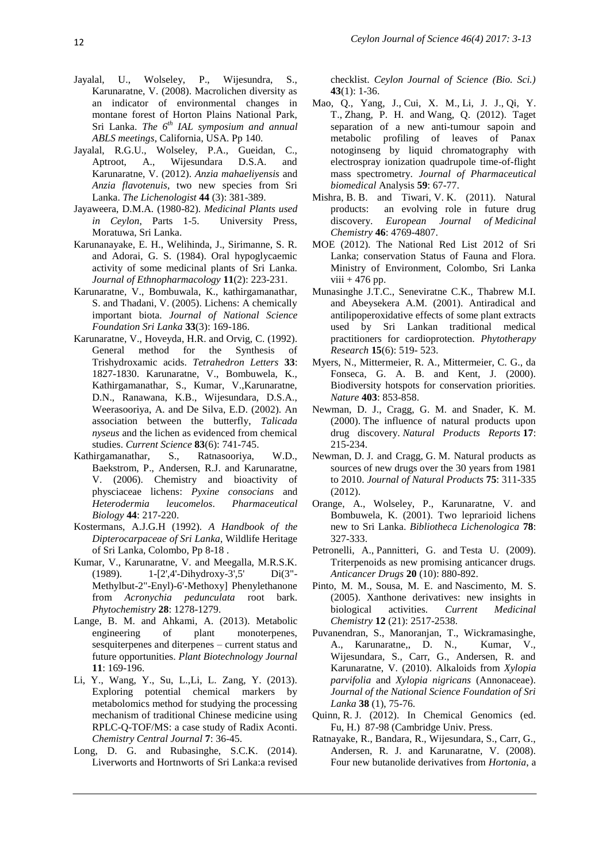- Jayalal, U., Wolseley, P., Wijesundra, S., Karunaratne, V. (2008). Macrolichen diversity as an indicator of environmental changes in montane forest of Horton Plains National Park, Sri Lanka. *The 6th IAL symposium and annual ABLS meetings*, California, USA. Pp 140.
- Jayalal, R.G.U., Wolseley, P.A., Gueidan, C., Aptroot, A., Wijesundara D.S.A. and Karunaratne, V. (2012). *Anzia mahaeliyensis* and *Anzia flavotenuis*, two new species from Sri Lanka. *The Lichenologist* **44** (3): 381-389.
- Jayaweera, D.M.A. (1980-82). *Medicinal Plants used in Ceylon*, Parts 1-5. University Press, Moratuwa, Sri Lanka.
- Karunanayake, E. H., Welihinda, J., Sirimanne, S. R. and Adorai, G. S. (1984). Oral hypoglycaemic activity of some medicinal plants of Sri Lanka. *Journal of Ethnopharmacology* **11**(2): 223-231.
- Karunaratne, V., Bombuwala, K., kathirgamanathar, S. and Thadani, V. (2005). Lichens: A chemically important biota. *Journal of National Science Foundation Sri Lanka* **33**(3): 169-186.
- Karunaratne, V., Hoveyda, H.R. and Orvig, C. (1992). General method for the Synthesis of Trishydroxamic acids. *Tetrahedron Letters* **33**: 1827-1830. Karunaratne, V., Bombuwela, K., Kathirgamanathar, S., Kumar, V.,Karunaratne, D.N., Ranawana, K.B., Wijesundara, D.S.A., Weerasooriya, A. and De Silva, E.D. (2002). An association between the butterfly, *Talicada nyseus* and the lichen as evidenced from chemical studies. *Current Science* **83**(6): 741-745.
- Kathirgamanathar, S., Ratnasooriya, W.D., Baekstrom, P., Andersen, R.J. and Karunaratne, V. (2006). Chemistry and bioactivity of physciaceae lichens: *Pyxine consocians* and *Heterodermia leucomelos*. *Pharmaceutical Biology* **44**: 217-220.
- Kostermans, A.J.G.H (1992). *A Handbook of the Dipterocarpaceae of Sri Lanka*, Wildlife Heritage of Sri Lanka, Colombo, Pp 8-18 .
- Kumar, V., Karunaratne, V. and Meegalla, M.R.S.K. (1989). 1-[2',4'-Dihydroxy-3',5' Di(3"- Methylbut-2"-Enyl)-6'-Methoxy] Phenylethanone from *Acronychia pedunculata* root bark. *Phytochemistry* **28**: 1278-1279.
- Lange, B. M. and Ahkami, A. (2013). Metabolic engineering of plant monoterpenes, sesquiterpenes and diterpenes – current status and future opportunities. *Plant Biotechnology Journal* **11**: 169-196.
- Li, Y., Wang, Y., Su, L.,Li, L. Zang, Y. (2013). Exploring potential chemical markers by metabolomics method for studying the processing mechanism of traditional Chinese medicine using RPLC-Q-TOF/MS: a case study of Radix Aconti. *Chemistry Central Journal* **7**: 36-45.
- Long, D. G. and Rubasinghe, S.C.K. (2014). Liverworts and Hortnworts of Sri Lanka:a revised

checklist. *Ceylon Journal of Science (Bio. Sci.)* **43**(1): 1-36.

- Mao, Q., [Yang, J.](http://europepmc.org/search;jsessionid=RPvlS46GcPjjOMdYc6Zr.9?page=1&query=AUTH:%22Yang+J%22), [Cui, X. M.](http://europepmc.org/search;jsessionid=RPvlS46GcPjjOMdYc6Zr.9?page=1&query=AUTH:%22Cui+XM%22), [Li, J. J.](http://europepmc.org/search;jsessionid=RPvlS46GcPjjOMdYc6Zr.9?page=1&query=AUTH:%22Li+JJ%22), [Qi, Y.](http://europepmc.org/search;jsessionid=RPvlS46GcPjjOMdYc6Zr.9?page=1&query=AUTH:%22Qi+YT%22)  [T.](http://europepmc.org/search;jsessionid=RPvlS46GcPjjOMdYc6Zr.9?page=1&query=AUTH:%22Qi+YT%22), [Zhang, P. H.](http://europepmc.org/search;jsessionid=RPvlS46GcPjjOMdYc6Zr.9?page=1&query=AUTH:%22Zhang+PH%22) and [Wang, Q.](http://europepmc.org/search;jsessionid=RPvlS46GcPjjOMdYc6Zr.9?page=1&query=AUTH:%22Wang+Q%22) (2012). Taget separation of a new anti-tumour sapoin and metabolic profiling of leaves of Panax notoginseng by liquid chromatography with electrospray ionization quadrupole time-of-flight mass spectrometry. *Journal of Pharmaceutical biomedical* Analysis **59**: 67-77.
- Mishra, B. B. and Tiwari, V. K. (2011). Natural products: an evolving role in future drug discovery. *European Journal of Medicinal Chemistry* **46**: 4769-4807.
- MOE (2012). The National Red List 2012 of Sri Lanka; conservation Status of Fauna and Flora. Ministry of Environment, Colombo, Sri Lanka viii  $+476$  pp.
- Munasinghe J.T.C., Seneviratne C.K., Thabrew M.I. and Abeysekera A.M. (2001). Antiradical and antilipoperoxidative effects of some plant extracts used by Sri Lankan traditional medical practitioners for cardioprotection. *Phytotherapy Research* **15**(6): 519- 523.
- Myers, N., Mittermeier, R. A., Mittermeier, C. G., da Fonseca, G. A. B. and Kent, J. (2000). Biodiversity hotspots for conservation priorities. *Nature* **403**: 853-858.
- Newman, D. J., Cragg, G. M. and Snader, K. M. (2000). The influence of natural products upon drug discovery. *Natural Products Reports* **17**: 215-234.
- Newman, D. J. and Cragg, G. M. Natural products as sources of new drugs over the 30 years from 1981 to 2010. *Journal of Natural Products* **75**: 311-335 (2012).
- Orange, A., Wolseley, P., Karunaratne, V. and Bombuwela, K. (2001). Two leprarioid lichens new to Sri Lanka. *Bibliotheca Lichenologica* **78**: 327-333.
- [Petronelli, A.](http://www.ncbi.nlm.nih.gov/pubmed/?term=Petronelli%20A%5BAuthor%5D&cauthor=true&cauthor_uid=19745720), [Pannitteri, G.](http://www.ncbi.nlm.nih.gov/pubmed/?term=Pannitteri%20G%5BAuthor%5D&cauthor=true&cauthor_uid=19745720) and [Testa U.](http://www.ncbi.nlm.nih.gov/pubmed/?term=Testa%20U%5BAuthor%5D&cauthor=true&cauthor_uid=19745720) (2009). Triterpenoids as new promising anticancer drugs. *Anticancer Drugs* **20** (10): 880-892.
- [Pinto, M. M.](http://www.ncbi.nlm.nih.gov/pubmed/?term=Pinto%20MM%5BAuthor%5D&cauthor=true&cauthor_uid=16250875), [Sousa, M. E.](http://www.ncbi.nlm.nih.gov/pubmed/?term=Sousa%20ME%5BAuthor%5D&cauthor=true&cauthor_uid=16250875) and [Nascimento, M. S.](http://www.ncbi.nlm.nih.gov/pubmed/?term=Nascimento%20MS%5BAuthor%5D&cauthor=true&cauthor_uid=16250875) (2005). Xanthone derivatives: new insights in biological activities. *Current Medicinal Chemistry* **12** (21): 2517-2538.
- Puvanendran, S., Manoranjan, T., Wickramasinghe, A., Karunaratne,, D. N., Kumar, V., Wijesundara, S., Carr, G., Andersen, R. and Karunaratne, V. (2010). [Alkaloids from](http://jnsfsl.sljol.info/articles/10.4038/jnsfsr.v38i1.1728/galley/1451/download/) *Xylopia parvifolia* and *[Xylopia nigricans](http://jnsfsl.sljol.info/articles/10.4038/jnsfsr.v38i1.1728/galley/1451/download/)* (Annonaceae). *Journal of the National Science Foundation of Sri Lanka* **38** (1), 75-76.
- Quinn, R. J. (2012). In Chemical Genomics (ed. Fu, H.) 87-98 (Cambridge Univ. Press.
- Ratnayake, R., Bandara, R., Wijesundara, S., Carr, G., Andersen, R. J. and Karunaratne, V. (2008). [Four new butanolide derivatives from](http://www.ingentaconnect.com/content/stl/jcr/2008/00002008/00000003/art00004) *Hortonia*, a